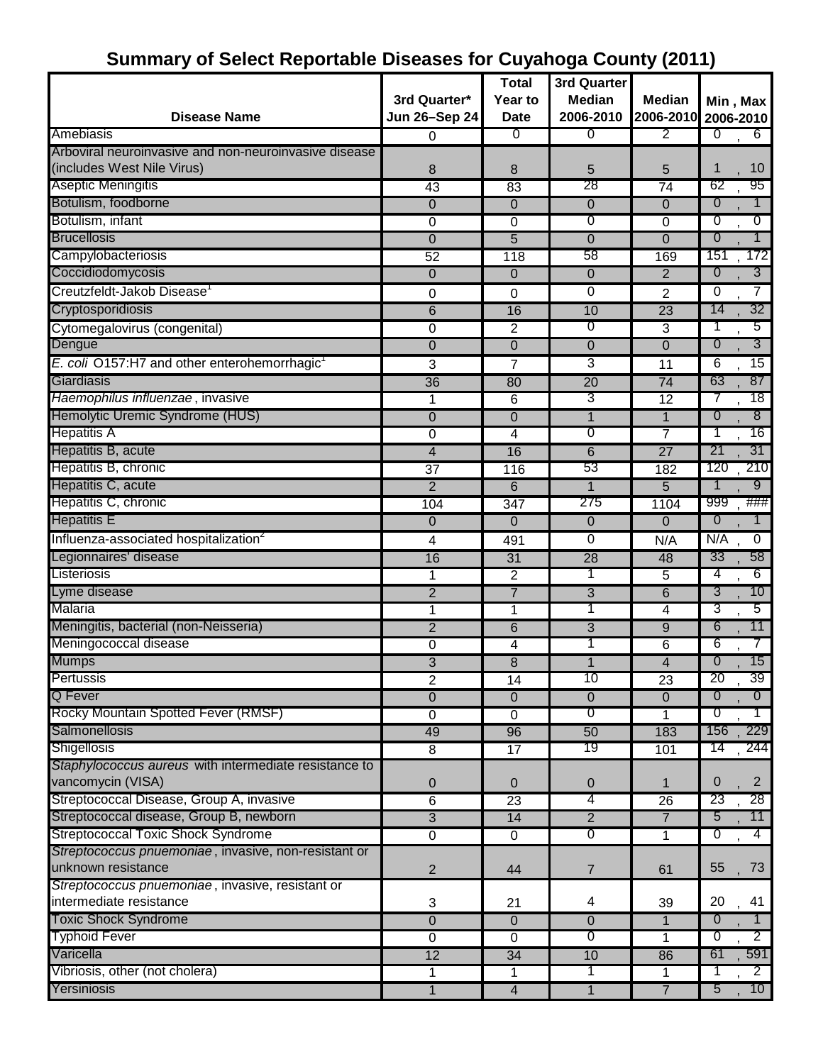# **Summary of Select Reportable Diseases for Cuyahoga County (2011)**

|                                                          |                 | <b>Total</b>     | 3rd Quarter    |                 |                                    |
|----------------------------------------------------------|-----------------|------------------|----------------|-----------------|------------------------------------|
|                                                          | 3rd Quarter*    | Year to          | <b>Median</b>  | <b>Median</b>   | Min, Max                           |
| <b>Disease Name</b>                                      | Jun 26-Sep 24   | <b>Date</b>      | 2006-2010      |                 | 2006-2010 2006-2010                |
| Amebiasis                                                | 0               | $\overline{0}$   | $\overline{0}$ | $\overline{2}$  | $\overline{0}$<br>$6 \overline{6}$ |
| Arboviral neuroinvasive and non-neuroinvasive disease    |                 |                  |                |                 |                                    |
| (includes West Nile Virus)                               | 8               | 8                | 5              | 5               | 10<br>1                            |
| <b>Aseptic Meningitis</b>                                | 43              | 83               | 28             | 74              | 62<br>95                           |
| Botulism, foodborne                                      | $\mathbf 0$     | 0                | $\mathbf 0$    | $\mathbf 0$     | $\overline{0}$<br>1                |
| Botulism, infant                                         | 0               | $\overline{0}$   | 0              | 0               | 0<br>0                             |
| <b>Brucellosis</b>                                       | $\overline{0}$  | 5                | $\overline{0}$ | $\overline{0}$  | $\overline{0}$<br>1                |
| Campylobacteriosis                                       | $\overline{52}$ | 118              | 58             | 169             | 151<br>172                         |
| Coccidiodomycosis                                        | $\Omega$        | 0                | $\mathbf{0}$   | $\overline{2}$  | $\overline{0}$<br>3                |
| Creutzfeldt-Jakob Disease <sup>1</sup>                   | 0               | 0                | 0              | 2               | 7<br>0                             |
| Cryptosporidiosis                                        | $\overline{6}$  | 16               | 10             | 23              | 32<br>14                           |
| Cytomegalovirus (congenital)                             | 0               | 2                | σ              | 3               | 5                                  |
| Dengue                                                   | $\mathbf 0$     | 0                | 0              | $\mathbf 0$     | 3<br>0                             |
| E. coli O157:H7 and other enterohemorrhagic <sup>1</sup> | 3               | 7                | 3              | 11              | 6<br>15                            |
| Giardiasis                                               | 36              | 80               | 20             | 74              | 87<br>63                           |
| Haemophilus influenzae, invasive                         | 1               | 6                | 3              | $\overline{12}$ | 18<br>7                            |
| Hemolytic Uremic Syndrome (HUS)                          | 0               | $\overline{0}$   | $\mathbf{1}$   | $\overline{1}$  | $\overline{0}$<br>8                |
| <b>Hepatitis A</b>                                       | 0               | 4                | σ              | 7               | 16<br>1                            |
| Hepatitis B, acute                                       | $\overline{4}$  | 16               | 6              | $\overline{27}$ | 31<br>21                           |
| Hepatitis B, chronic                                     | $\overline{37}$ | 116              | 53             | 182             | 210<br>120                         |
| Hepatitis C, acute                                       | $\overline{2}$  | 6                | 1              | 5               | 9                                  |
| Hepatitis C, chronic                                     | 104             | $\overline{347}$ | 275            | 1104            | ###<br>999                         |
| <b>Hepatitis E</b>                                       | $\overline{0}$  | 0                | 0              | 0               | 0<br>1                             |
| Influenza-associated hospitalization <sup>2</sup>        | 4               | 491              | 0              | N/A             | N/A<br>$\mathbf 0$                 |
| Legionnaires' disease                                    | 16              | 31               | 28             | 48              | 33<br>58                           |
| Listeriosis                                              | 1               | 2                | 1              | 5               | 4<br>6                             |
| Lyme disease                                             | $\overline{2}$  | $\overline{7}$   | $\overline{3}$ | $\overline{6}$  | 3<br>10                            |
| Malaria                                                  | 1               | 1                | 1              | 4               | 3<br>5                             |
| Meningitis, bacterial (non-Neisseria)                    | $\overline{2}$  | 6                | 3              | $\overline{9}$  | 6<br>11                            |
| Meningococcal disease                                    | 0               | 4                |                | 6               | 6<br>7                             |
| <b>Mumps</b>                                             | 3               | 8                | 1              | 4               | 0<br>15                            |
| Pertussis                                                | 2               | 14               | 10             | 23              | 20<br>39.                          |
| <b>Q</b> Fever                                           | $\overline{0}$  | $\overline{0}$   | $\overline{0}$ | $\overline{0}$  | $\overline{0}$<br>$\overline{0}$   |
| Rocky Mountain Spotted Fever (RMSF)                      | 0               | 0                | $\overline{0}$ | 1               | $\overline{1}$<br>$\overline{0}$   |
| <b>Salmonellosis</b>                                     | 49              | 96               | 50             | 183             | 229<br>156                         |
| <b>Shigellosis</b>                                       | 8               | 17               | 19             | 101             | 14<br>244                          |
| Staphylococcus aureus with intermediate resistance to    |                 |                  |                |                 |                                    |
| vancomycin (VISA)                                        | 0               | $\mathbf{0}$     | $\mathbf 0$    | 1               | $\overline{2}$<br>0                |
| Streptococcal Disease, Group A, invasive                 | $6\overline{6}$ | 23               | 4              | 26              | 23<br>28                           |
| Streptococcal disease, Group B, newborn                  | $\overline{3}$  | 14               | $\overline{2}$ | $\overline{7}$  | 5<br>11                            |
| <b>Streptococcal Toxic Shock Syndrome</b>                | $\overline{0}$  | $\overline{0}$   | $\sigma$       | 1               | ℧<br>4                             |
| Streptococcus pnuemoniae, invasive, non-resistant or     |                 |                  |                |                 |                                    |
| unknown resistance                                       | $\overline{2}$  | 44               | 7              | 61              | 55<br>73                           |
| Streptococcus pnuemoniae, invasive, resistant or         |                 |                  |                |                 |                                    |
| intermediate resistance                                  | 3               | 21               | 4              | 39              | 20<br>41                           |
| <b>Toxic Shock Syndrome</b>                              | 0               | $\mathbf 0$      | $\overline{0}$ | 1               | $\overline{0}$<br>$\top$           |
| <b>Typhoid Fever</b>                                     | 0               | 0                | $\overline{0}$ | 1               | $\overline{2}$<br>0                |
| Varicella                                                | 12              | $\overline{34}$  | 10             | 86              | 591<br>61                          |
| Vibriosis, other (not cholera)                           | $\mathbf 1$     | 1                | 1              | 1               | $\overline{2}$                     |
| Yersiniosis                                              | 1               | $\overline{4}$   | $\mathbf{1}$   | $\overline{7}$  | 10 <sup>°</sup><br>5               |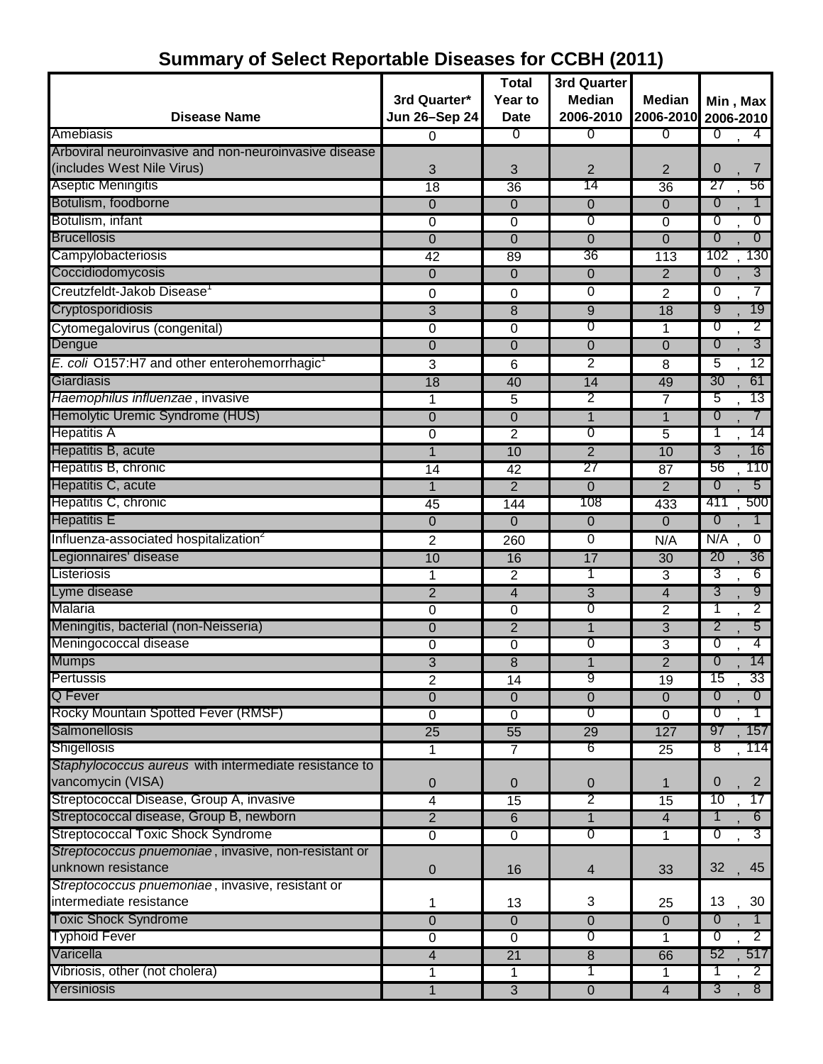|                                                          |                                      | <b>Total</b>           | 3rd Quarter                |                            |                                   |
|----------------------------------------------------------|--------------------------------------|------------------------|----------------------------|----------------------------|-----------------------------------|
| <b>Disease Name</b>                                      | 3rd Quarter*<br><b>Jun 26-Sep 24</b> | Year to<br><b>Date</b> | <b>Median</b><br>2006-2010 | <b>Median</b><br>2006-2010 | Min, Max<br>2006-2010             |
| Amebiasis                                                | $\Omega$                             | 0                      | $\overline{0}$             | $\overline{0}$             | 0<br>$\overline{4}$               |
| Arboviral neuroinvasive and non-neuroinvasive disease    |                                      |                        |                            |                            |                                   |
| (includes West Nile Virus)                               | 3                                    | 3                      | 2                          | $\overline{2}$             | $\mathbf 0$<br>7                  |
| <b>Aseptic Meningitis</b>                                | $\overline{18}$                      | 36                     | 14                         | 36                         | 27<br>56                          |
| Botulism, foodborne                                      | $\overline{0}$                       | $\mathbf{0}$           | 0                          | $\overline{0}$             | $\overline{0}$<br>1               |
| Botulism, infant                                         | $\overline{0}$                       | 0                      | 0                          | $\overline{0}$             | $\overline{0}$<br>0               |
| <b>Brucellosis</b>                                       | $\Omega$                             | $\Omega$               | $\mathbf{0}$               | $\Omega$                   | $\overline{0}$<br>$\overline{0}$  |
| Campylobacteriosis                                       | $\overline{42}$                      | 89                     | 36                         | $\overline{113}$           | 130<br>102                        |
| Coccidiodomycosis                                        | $\overline{0}$                       | $\mathbf{0}$           | 0                          | $\overline{2}$             | $\overline{3}$<br>$\overline{0}$  |
| Creutzfeldt-Jakob Disease <sup>1</sup>                   | 0                                    | 0                      | 0                          | $\overline{2}$             | 7<br>0                            |
| Cryptosporidiosis                                        | $\overline{3}$                       | 8                      | 9                          | 18                         | 9<br>19                           |
| Cytomegalovirus (congenital)                             | 0                                    | 0                      | 0                          | $\mathbf 1$                | $\overline{2}$<br>0               |
| Dengue                                                   | $\mathbf 0$                          | $\overline{0}$         | $\overline{0}$             | $\overline{0}$             | 3<br>$\overline{0}$               |
| E. coli O157:H7 and other enterohemorrhagic <sup>1</sup> | 3                                    | 6                      | 2                          | 8                          | 12<br>5                           |
| Giardiasis                                               | 18                                   | 40                     | 14                         | 49                         | 61<br>30                          |
| Haemophilus influenzae, invasive                         | 1                                    | 5                      | 2                          | 7                          | 13<br>5                           |
| Hemolytic Uremic Syndrome (HUS)                          | $\overline{0}$                       | $\mathbf 0$            | $\mathbf{1}$               | $\mathbf{1}$               | $\tau$<br>$\overline{0}$          |
| <b>Hepatitis A</b>                                       | $\overline{0}$                       | $\overline{2}$         | 0                          | 5                          | 14<br>T                           |
| Hepatitis B, acute                                       | $\mathbf{1}$                         | 10                     | $\overline{2}$             | 10                         | 16<br>3                           |
| Hepatitis B, chronic                                     | 14                                   | 42                     | 27                         | $\overline{87}$            | 56<br>110                         |
| Hepatitis C, acute                                       | $\mathbf 1$                          | $\overline{2}$         | 0                          | $\overline{2}$             | $5\overline{)}$<br>$\overline{0}$ |
| Hepatitis C, chronic                                     | 45                                   | 144                    | 108                        | 433                        | 411<br>500                        |
| <b>Hepatitis E</b>                                       | $\overline{0}$                       | $\mathbf 0$            | $\overline{0}$             | $\overline{0}$             | $\overline{0}$<br>$\mathbf{1}$    |
| Influenza-associated hospitalization <sup>2</sup>        | $\overline{c}$                       | 260                    | $\overline{0}$             | N/A                        | N/A<br>$\overline{0}$             |
| Legionnaires' disease                                    | 10                                   | 16                     | 17                         | 30                         | 20<br>36                          |
| Listeriosis                                              | 1                                    | 2                      | 1                          | 3                          | 3<br>6                            |
| Lyme disease                                             | $\overline{2}$                       | 4                      | 3                          | $\overline{4}$             | 3<br>9                            |
| Malaria                                                  | 0                                    | 0                      | 0                          | $\overline{c}$             | $\overline{2}$<br>T               |
| Meningitis, bacterial (non-Neisseria)                    | $\mathbf 0$                          | $\overline{2}$         | 1                          | $\overline{3}$             | 2<br>5                            |
| Meningococcal disease                                    | $\overline{0}$                       | 0                      | 0                          | 3                          | 0<br>4                            |
| <b>Mumps</b>                                             | $\overline{3}$                       | $\overline{8}$         | 1                          | $\overline{2}$             | 14<br>$\overline{0}$              |
| Pertussis                                                | $\overline{2}$                       | 14                     | 9                          | 19                         | 15<br>33                          |
| Q Fever                                                  | $\overline{0}$                       | $\mathbf{0}$           | $\overline{0}$             | $\overline{0}$             | $\overline{0}$<br>$\overline{0}$  |
| Rocky Mountain Spotted Fever (RMSF)                      | 0                                    | 0                      | 0                          | 0                          | $\overline{0}$<br>$\mathbf{1}$    |
| Salmonellosis                                            | $\overline{25}$                      | $\overline{55}$        | 29                         | 127                        | 157<br>97                         |
| Shigellosis                                              | 1                                    | $\overline{7}$         | 6                          | $\overline{25}$            | 8<br>114                          |
| Staphylococcus aureus with intermediate resistance to    |                                      |                        |                            |                            |                                   |
| vancomycin (VISA)                                        | $\overline{0}$                       | $\pmb{0}$              | 0                          | 1                          | $\overline{2}$<br>$\mathbf 0$     |
| Streptococcal Disease, Group A, invasive                 | $\overline{4}$                       | $\overline{15}$        | 2                          | $\overline{15}$            | 10<br>17                          |
| Streptococcal disease, Group B, newborn                  | $\overline{2}$                       | 6                      | $\mathbf{1}$               | $\overline{4}$             | 1<br>$6 -$                        |
| <b>Streptococcal Toxic Shock Syndrome</b>                | $\overline{0}$                       | 0                      | 0                          | 1                          | $3^{-}$<br>℧                      |
| Streptococcus pnuemoniae, invasive, non-resistant or     |                                      |                        |                            |                            |                                   |
| unknown resistance                                       | $\overline{0}$                       | 16                     | $\overline{4}$             | 33                         | 32<br>45                          |
| Streptococcus pnuemoniae, invasive, resistant or         |                                      |                        |                            |                            |                                   |
| intermediate resistance                                  | 1                                    | 13                     | 3                          | 25                         | 30<br>13                          |
| <b>Toxic Shock Syndrome</b>                              | $\Omega$                             | $\overline{0}$         | $\overline{0}$             | $\overline{0}$             | $\boldsymbol{0}$                  |
| <b>Typhoid Fever</b>                                     | 0                                    | 0                      | 0                          |                            | $\overline{2}$<br>0               |
| Varicella                                                | 4                                    | $\overline{21}$        | $\bf 8$                    | 66                         | 517<br>52                         |
| Vibriosis, other (not cholera)                           | 1                                    | $\mathbf{1}$           | T                          | 1                          | $\overline{2}$<br>1               |
| Yersiniosis                                              | $\mathbf 1$                          | $\overline{3}$         | $\overline{0}$             | $\overline{4}$             | 8 <sup>1</sup><br>3               |

## **Summary of Select Reportable Diseases for CCBH (2011)**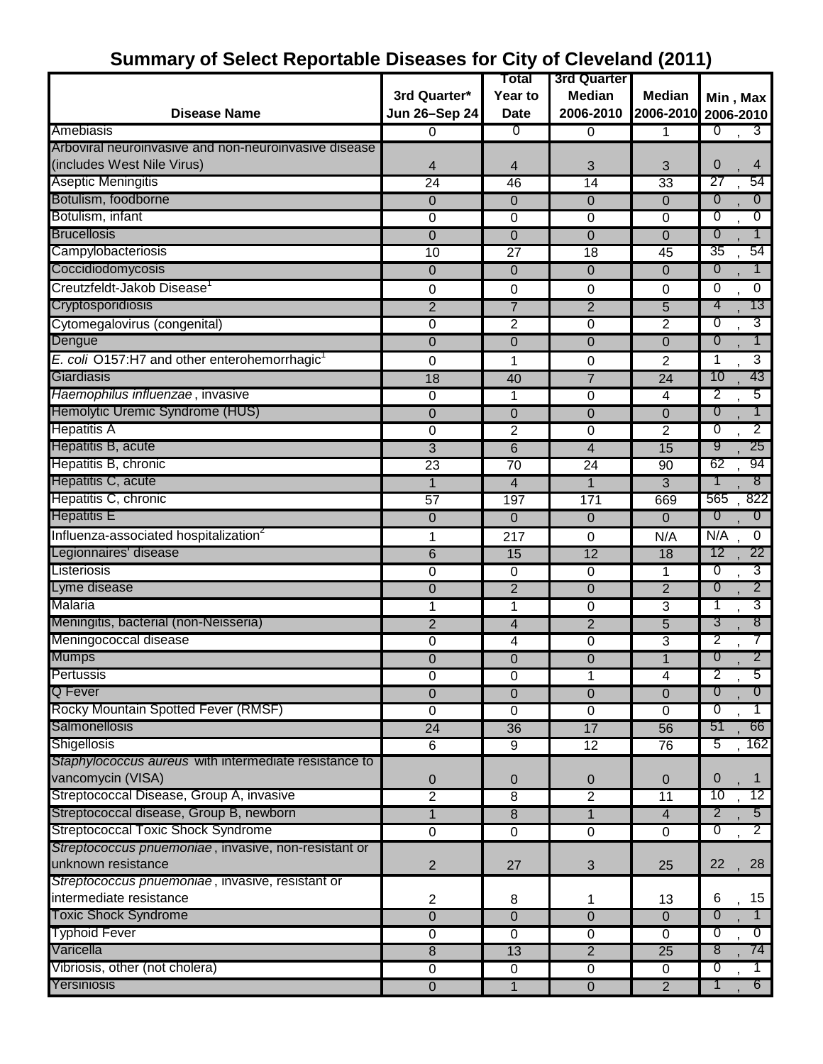| A ANDRE ITALIANIA                                        | , , , , , , , , , , , , , , , , | Total                  | 3rd Quarter         |                 |                                  |
|----------------------------------------------------------|---------------------------------|------------------------|---------------------|-----------------|----------------------------------|
|                                                          | 3rd Quarter*                    | Year to                | <b>Median</b>       | <b>Median</b>   |                                  |
| <b>Disease Name</b>                                      | <b>Jun 26-Sep 24</b>            | <b>Date</b>            | 2006-2010           | 2006-2010       | Min, Max                         |
| Amebiasis                                                | 0                               | ℧                      |                     |                 | 2006-2010<br>0<br>$3^{-}$        |
| Arboviral neuroinvasive and non-neuroinvasive disease    |                                 |                        | 0                   | 1               |                                  |
| (includes West Nile Virus)                               | 4                               | 4                      | 3                   | 3               | 0<br>4                           |
| <b>Aseptic Meningitis</b>                                | $\overline{24}$                 | 46                     | $\overline{14}$     | 33              | 27<br>54                         |
| Botulism, foodborne                                      | $\mathbf 0$                     | 0                      | 0                   | $\overline{0}$  | $\overline{0}$<br>$\overline{0}$ |
| Botulism, infant                                         | $\overline{0}$                  | 0                      | $\overline{0}$      | $\overline{0}$  | $\overline{0}$<br>$\overline{0}$ |
| <b>Brucellosis</b>                                       | 0                               | 0                      | 0                   | $\overline{0}$  | $\overline{0}$<br>1              |
| Campylobacteriosis                                       | 10                              | 27                     | $\overline{18}$     | 45              | 54<br>35                         |
| Coccidiodomycosis                                        | $\mathbf 0$                     | 0                      | $\overline{0}$      | 0               | $\mathbf{1}$<br>0                |
| Creutzfeldt-Jakob Disease <sup>1</sup>                   | 0                               | 0                      | 0                   | 0               | 0<br>0                           |
| Cryptosporidiosis                                        | $\overline{2}$                  | $\overline{7}$         | $\overline{2}$      | $\overline{5}$  | 4<br>13                          |
| Cytomegalovirus (congenital)                             | $\overline{0}$                  | $\overline{2}$         | $\overline{0}$      | $\overline{2}$  | 3<br>0                           |
| Dengue                                                   | $\overline{0}$                  | $\overline{0}$         | $\overline{0}$      | $\overline{0}$  | 0<br>1                           |
| E. coli O157:H7 and other enterohemorrhagic <sup>1</sup> | 0                               | 1                      |                     | $\overline{2}$  | $\overline{3}$<br>$\mathbf{1}$   |
| Giardiasis                                               | 18                              | 40                     | 0<br>$\overline{7}$ | $\overline{24}$ | 43<br>10                         |
| Haemophilus influenzae, invasive                         | $\pmb{0}$                       |                        | $\overline{0}$      | 4               | $\overline{2}$<br>5              |
| Hemolytic Uremic Syndrome (HUS)                          | $\mathbf 0$                     | 1<br>0                 | 0                   | 0               | 1<br>$\overline{0}$              |
| <b>Hepatitis A</b>                                       | $\overline{0}$                  | $\overline{2}$         | 0                   | 2               | 2<br>0                           |
| Hepatitis B, acute                                       | $\overline{3}$                  | $\overline{6}$         | 4                   | 15              | 9<br>$25\,$                      |
| Hepatitis B, chronic                                     | 23                              | $\overline{70}$        | 24                  | 90              | 62<br>94                         |
| Hepatitis C, acute                                       | 1                               | 4                      | 1                   | 3               | 8<br>1                           |
| Hepatitis C, chronic                                     | 57                              | 197                    | 171                 | 669             | 822<br>565                       |
| <b>Hepatitis E</b>                                       | 0                               | 0                      | 0                   | 0               | $\overline{0}$<br>0              |
| Influenza-associated hospitalization <sup>2</sup>        |                                 |                        |                     | N/A             | N/A<br>$\overline{0}$            |
| Legionnaires' disease                                    | 1<br>$\overline{6}$             | 217<br>$\overline{15}$ | 0<br>12             | 18              | 12<br>22                         |
| Listeriosis                                              |                                 |                        |                     | 1               | 3<br>0                           |
| Lyme disease                                             | 0<br>$\overline{0}$             | 0<br>$\overline{2}$    | 0<br>$\overline{0}$ | $\overline{2}$  | $\overline{2}$<br>0              |
| Malaria                                                  | 1                               | 1                      | $\overline{0}$      | $\overline{3}$  | 3<br>1                           |
| Meningitis, bacterial (non-Neisseria)                    | $\overline{2}$                  | 4                      | $\overline{2}$      | 5               | 8<br>3                           |
| Meningococcal disease                                    | $\overline{0}$                  | 4                      | $\overline{0}$      | 3               | 2<br>$\tau$                      |
| <b>Mumps</b>                                             | 0                               | 0                      | 0                   | 1               | $2^{-}$<br>0                     |
| Pertussis                                                | 0                               | 0                      | 1                   | 4               | 2<br>5                           |
| Q Fever                                                  | 0                               | 0                      | $\overline{0}$      | $\mathbf 0$     | 0<br>$\overline{0}$              |
| Rocky Mountain Spotted Fever (RMSF)                      | 0                               | 0                      | 0                   | 0               | $\overline{0}$<br>1              |
| Salmonellosis                                            | 24                              | 36                     | 17                  | $\overline{56}$ | 66<br>51                         |
| <b>Shigellosis</b>                                       | 6                               | 9                      | 12                  | 76              | 5<br>162                         |
| Staphylococcus aureus with intermediate resistance to    |                                 |                        |                     |                 |                                  |
| vancomycin (VISA)                                        | 0                               | 0                      | 0                   | $\mathbf 0$     | $\mathbf{0}$<br>1                |
| Streptococcal Disease, Group A, invasive                 | $\overline{2}$                  | $\overline{8}$         | $\overline{2}$      | 11              | 10<br>12                         |
| Streptococcal disease, Group B, newborn                  | 1                               | 8                      | $\mathbf{1}$        | $\overline{4}$  | 2<br>$5^{\circ}$                 |
| <b>Streptococcal Toxic Shock Syndrome</b>                | 0                               | 0                      | $\overline{0}$      | 0               | $\overline{2}$<br>$\overline{0}$ |
| Streptococcus pnuemoniae, invasive, non-resistant or     |                                 |                        |                     |                 |                                  |
| unknown resistance                                       | $\overline{2}$                  | 27                     | 3                   | 25              | 28<br>22                         |
| Streptococcus pnuemoniae, invasive, resistant or         |                                 |                        |                     |                 |                                  |
| intermediate resistance                                  | $\overline{2}$                  | 8                      | 1                   | 13              | 15<br>6                          |
| <b>Toxic Shock Syndrome</b>                              | $\overline{0}$                  | 0                      | $\overline{0}$      | $\Omega$        | $\overline{0}$<br>$\overline{1}$ |
| <b>Typhoid Fever</b>                                     | 0                               | 0                      | $\overline{0}$      | 0               | ℧<br>᠐                           |
| Varicella                                                | 8                               | 13                     | $\overline{2}$      | $\overline{25}$ | 8<br>74                          |
| Vibriosis, other (not cholera)                           | $\overline{0}$                  | 0                      | $\overline{0}$      | 0               | $\overline{0}$<br>1              |
| Yersiniosis                                              | $\overline{0}$                  | $\overline{1}$         | $\overline{0}$      | $\overline{2}$  | $6 -$<br>1                       |

### **Summary of Select Reportable Diseases for City of Cleveland (2011)**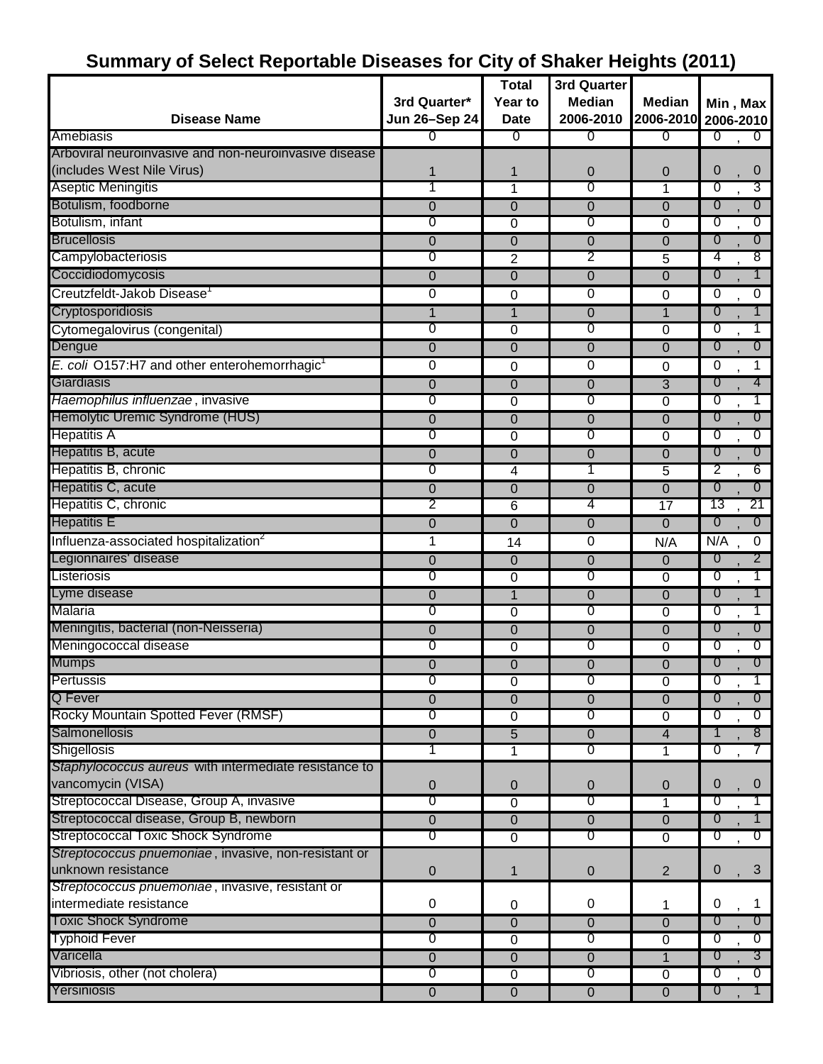# **Summary of Select Reportable Diseases for City of Shaker Heights (2011)**

|                                                          |                | <b>Total</b>   | 3rd Quarter    |                 |                                    |
|----------------------------------------------------------|----------------|----------------|----------------|-----------------|------------------------------------|
|                                                          | 3rd Quarter*   | Year to        | <b>Median</b>  | <b>Median</b>   | Min, Max                           |
| <b>Disease Name</b>                                      | Jun 26-Sep 24  | <b>Date</b>    | 2006-2010      | 2006-2010       | 2006-2010                          |
| Amebiasis                                                | 0              | 0              | ᠐              | ᠐               | $\overline{0}$<br>$\overline{0}$   |
| Arboviral neuroinvasive and non-neuroinvasive disease    |                |                |                |                 |                                    |
| (includes West Nile Virus)                               |                | 1              | 0              | 0               | 0<br>$\boldsymbol{0}$              |
| Aseptic Meningitis                                       |                | 1              | 0              | 1               | 0<br>3                             |
| Botulism, foodborne                                      | 0              | 0              | 0              | $\mathbf 0$     | 0<br>$\overline{0}$                |
| Botulism, infant                                         | 0              | $\overline{0}$ | 0              | $\overline{0}$  | 0<br>σ                             |
| <b>Brucellosis</b>                                       | 0              | 0              | 0              | $\overline{0}$  | $\overline{0}$<br>$\overline{0}$   |
| Campylobacteriosis                                       | 0              | $\overline{2}$ | 2              | 5               | 4<br>8                             |
| Coccidiodomycosis                                        | 0              | 0              | $\overline{0}$ | $\overline{0}$  | 1<br>$\overline{0}$                |
| Creutzfeldt-Jakob Disease <sup>1</sup>                   | 0              | 0              | 0              | 0               | $\Omega$<br>0                      |
| Cryptosporidiosis                                        | 1              | $\mathbf{1}$   | 0              | $\mathbf{1}$    | $\overline{0}$<br>1                |
| Cytomegalovirus (congenital)                             | 0              | 0              | 0              | 0               | σ<br>1                             |
| Dengue                                                   | 0              | 0              | 0              | $\mathbf 0$     | 0<br>$\overline{0}$                |
| E. coli O157:H7 and other enterohemorrhagic <sup>1</sup> | 0              | 0              | 0              | 0               | 0<br>1                             |
| Giardiasis                                               | 0              | $\overline{0}$ | $\mathbf 0$    | $\overline{3}$  | 4<br>$\overline{0}$                |
| Haemophilus influenzae, invasive                         | 0              | 0              | 0              | $\overline{0}$  | σ<br>Τ                             |
| Hemolytic Uremic Syndrome (HUS)                          | $\mathbf 0$    | 0              | $\Omega$       | $\overline{0}$  | $\overline{0}$<br>$\overline{0}$   |
| <b>Hepatitis A</b>                                       | 0              | 0              | 0              | 0               | 0<br>σ                             |
| Hepatitis B, acute                                       | 0              | 0              | 0              | $\mathbf 0$     | $\overline{0}$<br>$\overline{0}$   |
| Hepatitis B, chronic                                     | 0              | 4              |                | 5               | 2<br>6                             |
| Hepatitis C, acute                                       | 0              | 0              | 0              | $\mathbf 0$     | $\overline{0}$<br>$\overline{0}$   |
| Hepatitis C, chronic                                     | 2              | 6              | 4              | $\overline{17}$ | 13<br>21                           |
| <b>Hepatitis E</b>                                       | 0              | 0              | 0              | $\overline{0}$  | $\overline{0}$<br>$\overline{0}$   |
| Influenza-associated hospitalization <sup>2</sup>        | 1              | 14             | 0              | N/A             | N/A<br>$\pmb{0}$                   |
| Legionnaires' disease                                    | 0              | 0              | 0              | 0               | 2<br>$\overline{0}$                |
| Listeriosis                                              | 0              | $\overline{0}$ | 0              | 0               | 0<br>1                             |
| Lyme disease                                             | 0              | $\overline{1}$ | 0              | 0               | 0<br>1                             |
| Malaria                                                  | 0              | 0              | 0              | 0               | σ<br>T                             |
| Meningitis, bacterial (non-Neisseria)                    | 0              | 0              | 0              | $\mathbf 0$     | $\overline{0}$<br>$\overline{0}$   |
| Meningococcal disease                                    | 0              | 0              | 0              | $\overline{0}$  | $\overline{0}$<br>0                |
| <b>Mumps</b>                                             | 0              | 0              | 0              | $\mathbf 0$     | $\boldsymbol{0}$<br>$\overline{0}$ |
| Pertussis                                                | U              | 0              | U              | 0               | U                                  |
| Q Fever                                                  | 0              | $\overline{0}$ | $\overline{0}$ | $\overline{0}$  | 0<br>$\overline{0}$                |
| Rocky Mountain Spotted Fever (RMSF)                      | 0              | 0              | $\overline{0}$ | 0               | 0<br>$\sigma$                      |
| Salmonellosis                                            | $\overline{0}$ | $\overline{5}$ | $\overline{0}$ | $\overline{4}$  | 1<br>8 <sup>°</sup>                |
| Shigellosis                                              |                | 1              | 0              | 1               | $\overline{0}$<br>7                |
| Staphylococcus aureus with intermediate resistance to    |                |                |                |                 |                                    |
| vancomycin (VISA)                                        | 0              | 0              | 0              | 0               | 0<br>0                             |
| Streptococcal Disease, Group A, invasive                 | 0              | 0              | $\overline{0}$ | 1               | $\overline{0}$                     |
| Streptococcal disease, Group B, newborn                  | $\overline{0}$ | 0              | $\overline{0}$ | $\overline{0}$  | $\overline{0}$                     |
| <b>Streptococcal Toxic Shock Syndrome</b>                | 0              | $\overline{0}$ | $\overline{0}$ | $\overline{0}$  | $\sigma$<br>$\overline{0}$         |
| Streptococcus pnuemoniae, invasive, non-resistant or     |                |                |                |                 |                                    |
| unknown resistance                                       | $\mathbf 0$    | 1              | 0              | $\overline{2}$  | 0<br>3                             |
| Streptococcus pnuemoniae, invasive, resistant or         |                |                |                |                 |                                    |
| intermediate resistance                                  | 0              | 0              | $\pmb{0}$      | 1               | 0<br>1                             |
| <b>Toxic Shock Syndrome</b>                              | 0              | 0              | 0              | $\overline{0}$  | $\overline{0}$<br>$\overline{0}$   |
| <b>Typhoid Fever</b>                                     | $\overline{0}$ | $\overline{0}$ | 0              | $\overline{0}$  | $\overline{0}$<br>$\overline{0}$   |
| Varicella                                                | $\overline{0}$ | 0              | $\overline{0}$ | $\mathbf{1}$    | $3\overline{ }$<br>0               |
| Vibriosis, other (not cholera)                           | $\overline{0}$ | $\overline{0}$ | $\overline{0}$ | $\overline{0}$  | $\overline{0}$<br>$\overline{0}$   |
| Yersiniosis                                              | $\overline{0}$ | $\mathbf 0$    | $\overline{0}$ | 0               | $\overline{0}$                     |